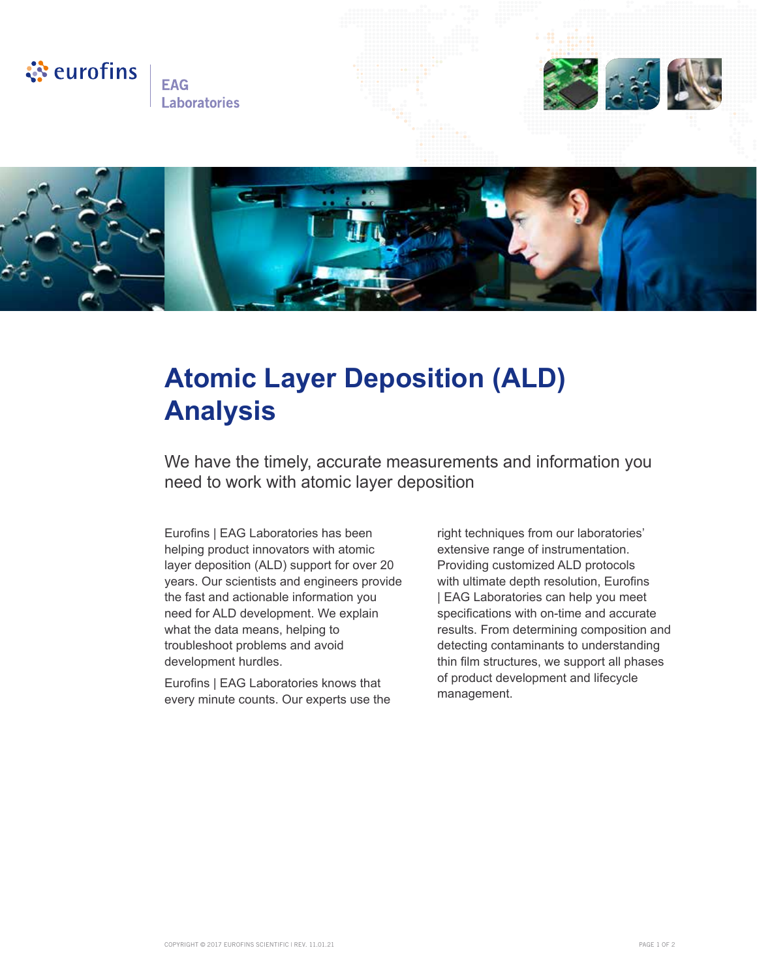

**EAG Laboratories** 





## **Atomic Layer Deposition (ALD) Analysis**

We have the timely, accurate measurements and information you need to work with atomic layer deposition

Eurofins | EAG Laboratories has been helping product innovators with atomic layer deposition (ALD) support for over 20 years. Our scientists and engineers provide the fast and actionable information you need for ALD development. We explain what the data means, helping to troubleshoot problems and avoid development hurdles.

Eurofins | EAG Laboratories knows that every minute counts. Our experts use the right techniques from our laboratories' extensive range of instrumentation. Providing customized ALD protocols with ultimate depth resolution, Eurofins | EAG Laboratories can help you meet specifications with on-time and accurate results. From determining composition and detecting contaminants to understanding thin film structures, we support all phases of product development and lifecycle management.